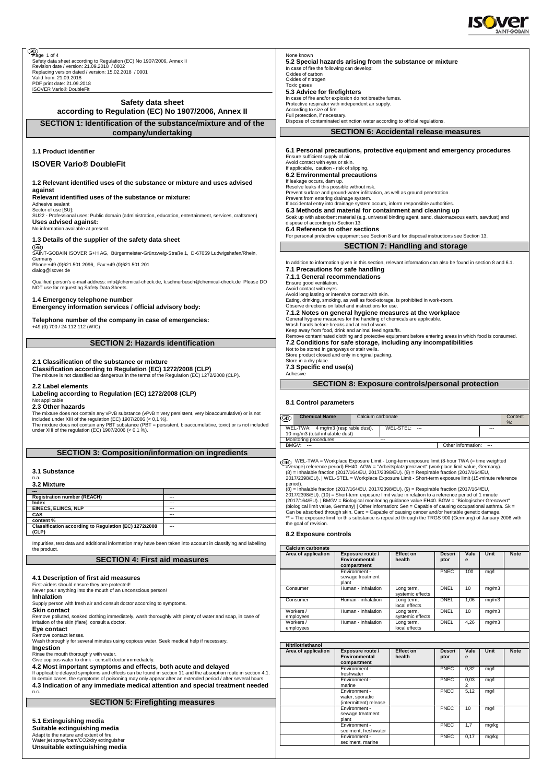

| B<br>Page 1 of 4                                                                                                                                                                  |                          | None known                                                                                                   |                                                                                                                                                                                                              |                                |                |                        |        |               |  |
|-----------------------------------------------------------------------------------------------------------------------------------------------------------------------------------|--------------------------|--------------------------------------------------------------------------------------------------------------|--------------------------------------------------------------------------------------------------------------------------------------------------------------------------------------------------------------|--------------------------------|----------------|------------------------|--------|---------------|--|
| Safety data sheet according to Regulation (EC) No 1907/2006, Annex II<br>Revision date / version: 21.09.2018 / 0002                                                               |                          | 5.2 Special hazards arising from the substance or mixture<br>In case of fire the following can develop:      |                                                                                                                                                                                                              |                                |                |                        |        |               |  |
| Replacing version dated / version: 15.02.2018 / 0001<br>Valid from: 21.09.2018                                                                                                    |                          | Oxides of carbon                                                                                             |                                                                                                                                                                                                              |                                |                |                        |        |               |  |
| PDF print date: 21.09.2018                                                                                                                                                        |                          | Oxides of nitrogen<br>Toxic gases                                                                            |                                                                                                                                                                                                              |                                |                |                        |        |               |  |
| <b>ISOVER Vario® DoubleFit</b>                                                                                                                                                    |                          | 5.3 Advice for firefighters                                                                                  |                                                                                                                                                                                                              |                                |                |                        |        |               |  |
| Safety data sheet                                                                                                                                                                 |                          | In case of fire and/or explosion do not breathe fumes.<br>Protective respirator with independent air supply. |                                                                                                                                                                                                              |                                |                |                        |        |               |  |
| according to Regulation (EC) No 1907/2006, Annex II                                                                                                                               |                          | According to size of fire<br>Full protection, if necessary.                                                  |                                                                                                                                                                                                              |                                |                |                        |        |               |  |
| SECTION 1: Identification of the substance/mixture and of the                                                                                                                     |                          | Dispose of contaminated extinction water according to official regulations.                                  |                                                                                                                                                                                                              |                                |                |                        |        |               |  |
| company/undertaking                                                                                                                                                               |                          | <b>SECTION 6: Accidental release measures</b>                                                                |                                                                                                                                                                                                              |                                |                |                        |        |               |  |
|                                                                                                                                                                                   |                          |                                                                                                              |                                                                                                                                                                                                              |                                |                |                        |        |               |  |
| 1.1 Product identifier                                                                                                                                                            |                          |                                                                                                              | 6.1 Personal precautions, protective equipment and emergency procedures                                                                                                                                      |                                |                |                        |        |               |  |
| <b>ISOVER Vario® DoubleFit</b>                                                                                                                                                    |                          | Ensure sufficient supply of air.<br>Avoid contact with eyes or skin.                                         |                                                                                                                                                                                                              |                                |                |                        |        |               |  |
|                                                                                                                                                                                   |                          | If applicable, caution - risk of slipping.<br>6.2 Environmental precautions                                  |                                                                                                                                                                                                              |                                |                |                        |        |               |  |
| 1.2 Relevant identified uses of the substance or mixture and uses advised                                                                                                         |                          | If leakage occurs, dam up.                                                                                   |                                                                                                                                                                                                              |                                |                |                        |        |               |  |
| against                                                                                                                                                                           |                          | Resolve leaks if this possible without risk.                                                                 | Prevent surface and ground-water infiltration, as well as ground penetration.                                                                                                                                |                                |                |                        |        |               |  |
| Relevant identified uses of the substance or mixture:<br>Adhesive sealant                                                                                                         |                          | Prevent from entering drainage system.                                                                       | If accidental entry into drainage system occurs, inform responsible authorities.                                                                                                                             |                                |                |                        |        |               |  |
| Sector of use [SU]:<br>SU22 - Professional uses: Public domain (administration, education, entertainment, services, craftsmen)                                                    |                          |                                                                                                              | 6.3 Methods and material for containment and cleaning up                                                                                                                                                     |                                |                |                        |        |               |  |
| Uses advised against:                                                                                                                                                             |                          | dispose of according to Section 13.                                                                          | Soak up with absorbent material (e.g. universal binding agent, sand, diatomaceous earth, sawdust) and                                                                                                        |                                |                |                        |        |               |  |
| No information available at present.                                                                                                                                              |                          | 6.4 Reference to other sections                                                                              | For personal protective equipment see Section 8 and for disposal instructions see Section 13.                                                                                                                |                                |                |                        |        |               |  |
| 1.3 Details of the supplier of the safety data sheet                                                                                                                              |                          |                                                                                                              |                                                                                                                                                                                                              |                                |                |                        |        |               |  |
| (GB)<br>SAINT-GOBAIN ISOVER G+H AG, Bürgermeister-Grünzweig-Straße 1, D-67059 Ludwigshafen/Rhein,                                                                                 |                          |                                                                                                              | <b>SECTION 7: Handling and storage</b>                                                                                                                                                                       |                                |                |                        |        |               |  |
| Germany<br>Phone:+49 (0)621 501 2096, Fax:+49 (0)621 501 201                                                                                                                      |                          |                                                                                                              | In addition to information given in this section, relevant information can also be found in section 8 and 6.1.                                                                                               |                                |                |                        |        |               |  |
| dialog@isover.de                                                                                                                                                                  |                          |                                                                                                              | 7.1 Precautions for safe handling                                                                                                                                                                            |                                |                |                        |        |               |  |
| Qualified person's e-mail address: info@chemical-check.de, k.schnurbusch@chemical-check.de Please DO                                                                              |                          | 7.1.1 General recommendations<br>Ensure good ventilation.                                                    |                                                                                                                                                                                                              |                                |                |                        |        |               |  |
| NOT use for requesting Safety Data Sheets.                                                                                                                                        |                          | Avoid contact with eyes.                                                                                     |                                                                                                                                                                                                              |                                |                |                        |        |               |  |
| 1.4 Emergency telephone number                                                                                                                                                    |                          |                                                                                                              | Avoid long lasting or intensive contact with skin.<br>Eating, drinking, smoking, as well as food-storage, is prohibited in work-room.                                                                        |                                |                |                        |        |               |  |
| Emergency information services / official advisory body:                                                                                                                          |                          |                                                                                                              | Observe directions on label and instructions for use.<br>7.1.2 Notes on general hygiene measures at the workplace                                                                                            |                                |                |                        |        |               |  |
| Telephone number of the company in case of emergencies:                                                                                                                           |                          |                                                                                                              | General hygiene measures for the handling of chemicals are applicable.                                                                                                                                       |                                |                |                        |        |               |  |
| +49 (0) 700 / 24 112 112 (WIC)                                                                                                                                                    |                          |                                                                                                              | Wash hands before breaks and at end of work.<br>Keep away from food, drink and animal feedingstuffs.                                                                                                         |                                |                |                        |        |               |  |
| <b>SECTION 2: Hazards identification</b>                                                                                                                                          |                          |                                                                                                              | Remove contaminated clothing and protective equipment before entering areas in which food is consumed.<br>7.2 Conditions for safe storage, including any incompatibilities                                   |                                |                |                        |        |               |  |
|                                                                                                                                                                                   |                          | Not to be stored in gangways or stair wells.                                                                 |                                                                                                                                                                                                              |                                |                |                        |        |               |  |
| 2.1 Classification of the substance or mixture                                                                                                                                    |                          | Store in a dry place.                                                                                        | Store product closed and only in original packing.                                                                                                                                                           |                                |                |                        |        |               |  |
| Classification according to Regulation (EC) 1272/2008 (CLP)                                                                                                                       |                          | 7.3 Specific end use(s)<br>Adhesive                                                                          |                                                                                                                                                                                                              |                                |                |                        |        |               |  |
| The mixture is not classified as dangerous in the terms of the Regulation (EC) 1272/2008 (CLP).                                                                                   |                          |                                                                                                              |                                                                                                                                                                                                              |                                |                |                        |        |               |  |
| 2.2 Label elements                                                                                                                                                                |                          |                                                                                                              | <b>SECTION 8: Exposure controls/personal protection</b>                                                                                                                                                      |                                |                |                        |        |               |  |
| Labeling according to Regulation (EC) 1272/2008 (CLP)<br>Not applicable                                                                                                           |                          | 8.1 Control parameters                                                                                       |                                                                                                                                                                                                              |                                |                |                        |        |               |  |
|                                                                                                                                                                                   |                          |                                                                                                              |                                                                                                                                                                                                              |                                |                |                        |        |               |  |
| 2.3 Other hazards                                                                                                                                                                 |                          |                                                                                                              |                                                                                                                                                                                                              |                                |                |                        |        |               |  |
| The mixture does not contain any vPvB substance (vPvB = very persistent, very bioaccumulative) or is not<br>included under XIII of the regulation (EC) 1907/2006 (< 0,1 %).       |                          | <b>Chemical Name</b><br>ිB)                                                                                  | Calcium carbonate                                                                                                                                                                                            |                                |                |                        |        | Content       |  |
| The mixture does not contain any PBT substance (PBT = persistent, bioaccumulative, toxic) or is not included<br>under XIII of the regulation (EC) 1907/2006 (< 0,1 %).            |                          | WEL-TWA: 4 mg/m3 (respirable dust),                                                                          |                                                                                                                                                                                                              | WEL-STEL: ---                  |                |                        |        | $\frac{9}{6}$ |  |
|                                                                                                                                                                                   |                          | 10 mg/m3 (total inhalable dust)<br>Monitoring procedures:                                                    | $\overline{\phantom{a}}$                                                                                                                                                                                     |                                |                |                        |        |               |  |
|                                                                                                                                                                                   |                          | <b>BMGV: ---</b>                                                                                             |                                                                                                                                                                                                              |                                |                | Other information:     | $\sim$ |               |  |
| <b>SECTION 3: Composition/information on ingredients</b>                                                                                                                          |                          |                                                                                                              | WEL-TWA = Workplace Exposure Limit - Long-term exposure limit (8-hour TWA (= time weighted                                                                                                                   |                                |                |                        |        |               |  |
| 3.1 Substance                                                                                                                                                                     |                          |                                                                                                              | average) reference period) EH40. AGW = "Arbeitsplatzgrenzwert" (workplace limit value, Germany).                                                                                                             |                                |                |                        |        |               |  |
| n.a.                                                                                                                                                                              |                          |                                                                                                              | (8) = Inhalable fraction (2017/164/EU, 2017/2398/EU). (9) = Respirable fraction (2017/164/EU,<br>2017/2398/EU).   WEL-STEL = Workplace Exposure Limit - Short-term exposure limit (15-minute reference       |                                |                |                        |        |               |  |
| 3.2 Mixture                                                                                                                                                                       |                          | period).                                                                                                     | (8) = Inhalable fraction (2017/164/EU, 2017/2398/EU). (9) = Respirable fraction (2017/164/EU,                                                                                                                |                                |                |                        |        |               |  |
| <b>Registration number (REACH)</b>                                                                                                                                                | ---                      |                                                                                                              | 2017/2398/EU). (10) = Short-term exposure limit value in relation to a reference period of 1 minute<br>(2017/164/EU).   BMGV = Biological monitoring guidance value EH40. BGW = "Biologischer Grenzwert"     |                                |                |                        |        |               |  |
| Index<br><b>EINECS, ELINCS, NLP</b>                                                                                                                                               | ---<br>$\cdots$          |                                                                                                              | (biological limit value, Germany)   Other information: Sen = Capable of causing occupational asthma. Sk =<br>Can be absorbed through skin, Carc = Capable of causing cancer and/or heritable genetic damage. |                                |                |                        |        |               |  |
| CAS<br>content%                                                                                                                                                                   | $\overline{\phantom{a}}$ |                                                                                                              | ** = The exposure limit for this substance is repealed through the TRGS 900 (Germany) of January 2006 with                                                                                                   |                                |                |                        |        |               |  |
| Classification according to Regulation (EC) 1272/2008<br>(CLP)                                                                                                                    | $\overline{\phantom{a}}$ | the goal of revision.                                                                                        |                                                                                                                                                                                                              |                                |                |                        |        |               |  |
|                                                                                                                                                                                   |                          | 8.2 Exposure controls                                                                                        |                                                                                                                                                                                                              |                                |                |                        |        |               |  |
| Impurities, test data and additional information may have been taken into account in classifying and labelling<br>the product.                                                    |                          | <b>Calcium carbonate</b>                                                                                     |                                                                                                                                                                                                              |                                |                |                        |        |               |  |
| <b>SECTION 4: First aid measures</b>                                                                                                                                              |                          | Area of application                                                                                          | Exposure route /<br>Environmental                                                                                                                                                                            | <b>Effect on</b><br>health     | Descri<br>ptor | Valu<br>e              | Unit   | <b>Note</b>   |  |
|                                                                                                                                                                                   |                          |                                                                                                              | compartment<br>Environment -                                                                                                                                                                                 |                                | PNEC           | 100                    | mg/l   |               |  |
| 4.1 Description of first aid measures                                                                                                                                             |                          |                                                                                                              | sewage treatment<br>plant                                                                                                                                                                                    |                                |                |                        |        |               |  |
| First-aiders should ensure they are protected!<br>Never pour anything into the mouth of an unconscious person!                                                                    |                          | Consumer                                                                                                     | Human - inhalation                                                                                                                                                                                           | Long term,                     | <b>DNEL</b>    | 10                     | mg/m3  |               |  |
| <b>Inhalation</b>                                                                                                                                                                 |                          | Consumer                                                                                                     | Human - inhalation                                                                                                                                                                                           | systemic effects<br>Long term, | <b>DNEL</b>    | 1,06                   | mg/m3  |               |  |
| Supply person with fresh air and consult doctor according to symptoms.<br>Skin contact                                                                                            |                          | Workers /                                                                                                    | Human - inhalation                                                                                                                                                                                           | local effects<br>Long term,    | <b>DNEL</b>    | 10                     | mg/m3  |               |  |
| Remove polluted, soaked clothing immediately, wash thoroughly with plenty of water and soap, in case of<br>irritation of the skin (flare), consult a doctor.                      |                          | employees<br>Workers /                                                                                       | Human - inhalation                                                                                                                                                                                           | systemic effects<br>Long term, | <b>DNEL</b>    | 4,26                   |        |               |  |
| Eye contact                                                                                                                                                                       |                          | employees                                                                                                    |                                                                                                                                                                                                              | local effects                  |                |                        | mg/m3  |               |  |
| Remove contact lenses.<br>Wash thoroughly for several minutes using copious water. Seek medical help if necessary.                                                                |                          |                                                                                                              |                                                                                                                                                                                                              |                                |                |                        |        |               |  |
| Ingestion                                                                                                                                                                         |                          | Nitrilotriethanol<br>Area of application                                                                     | Exposure route /                                                                                                                                                                                             | <b>Effect on</b>               | Descri         | Valu                   | Unit   | <b>Note</b>   |  |
| Rinse the mouth thoroughly with water.<br>Give copious water to drink - consult doctor immediately.                                                                               |                          |                                                                                                              | Environmental<br>compartment                                                                                                                                                                                 | health                         | ptor           | e                      |        |               |  |
| 4.2 Most important symptoms and effects, both acute and delayed<br>If applicable delayed symptoms and effects can be found in section 11 and the absorption route in section 4.1. |                          |                                                                                                              | Environment -                                                                                                                                                                                                |                                | PNEC           | 0,32                   | mg/l   |               |  |
| In certain cases, the symptoms of poisoning may only appear after an extended period / after several hours.                                                                       |                          |                                                                                                              | freshwater<br>Environment -                                                                                                                                                                                  |                                | PNEC           | 0,03                   | mg/l   |               |  |
| 4.3 Indication of any immediate medical attention and special treatment needed<br>n.c.                                                                                            |                          |                                                                                                              | marine<br>Environment -                                                                                                                                                                                      |                                | PNEC           | $\mathfrak{D}$<br>5,12 | mg/l   |               |  |
|                                                                                                                                                                                   |                          |                                                                                                              | water, sporadic<br>(intermittent) release                                                                                                                                                                    |                                |                |                        |        |               |  |
| <b>SECTION 5: Firefighting measures</b>                                                                                                                                           |                          |                                                                                                              | Environment -                                                                                                                                                                                                |                                | PNEC           | 10                     | mg/l   |               |  |
| 5.1 Extinguishing media                                                                                                                                                           |                          |                                                                                                              | sewage treatment<br>plant                                                                                                                                                                                    |                                |                |                        |        |               |  |
| Suitable extinguishing media                                                                                                                                                      |                          |                                                                                                              | Environment -<br>sediment, freshwater                                                                                                                                                                        |                                | PNEC           | 1,7                    | mg/kg  |               |  |
| Adapt to the nature and extent of fire.<br>Water jet spray/foam/CO2/dry extinguisher                                                                                              |                          |                                                                                                              | Environment -<br>sediment, marine                                                                                                                                                                            |                                | PNEC           | 0,17                   | mg/kg  |               |  |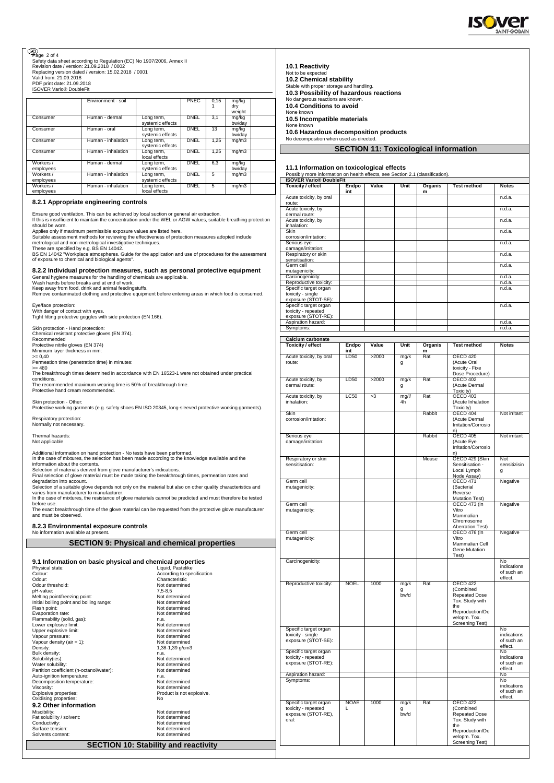

## Page 2 of 4

Safety data sheet according to Regulation (EC) No 1907/2006, Annex II Revision date / version: 21.09.2018 / 0002 Replacing version dated / version: 15.02.2018 / 0001 Valid from: 21.09.2018

PDF print date: 21.09.2018 ISOVER Vario® DoubleFit

|           | Environment - soil |                  | <b>PNEC</b> | 0.15 | mg/kg  |  |
|-----------|--------------------|------------------|-------------|------|--------|--|
|           |                    |                  |             |      | dry    |  |
|           |                    |                  |             |      | weight |  |
| Consumer  | Human - dermal     | Long term,       | <b>DNEL</b> | 3.1  | mg/kg  |  |
|           |                    | systemic effects |             |      | bw/dav |  |
| Consumer  | Human - oral       | Long term,       | DNEL        | 13   | mg/kg  |  |
|           |                    | systemic effects |             |      | bw/dav |  |
| Consumer  | Human - inhalation | Long term,       | <b>DNEL</b> | 1.25 | mq/m3  |  |
|           |                    | systemic effects |             |      |        |  |
| Consumer  | Human - inhalation | Long term,       | DNEL        | 1.25 | mq/m3  |  |
|           |                    | local effects    |             |      |        |  |
| Workers / | Human - dermal     | Long term,       | <b>DNEL</b> | 6.3  | mg/kg  |  |
| employees |                    | systemic effects |             |      | bw/dav |  |
| Workers / | Human - inhalation | Long term,       | DNEL        | 5    | mq/m3  |  |
| employees |                    | systemic effects |             |      |        |  |
| Workers / | Human - inhalation | Long term,       | DNEL        | 5    | mq/m3  |  |
| employees |                    | local effects    |             |      |        |  |

## **8.2.1 Appropriate engineering controls**

Ensure good ventilation. This can be achieved by local suction or general air extraction. If this is insufficient to maintain the concentration under the WEL or AGW values, suitable breathing protection

should be worn. Applies only if maximum permissible exposure values are listed here. Suitable assessment methods for reviewing the effectiveness of protection measures adopted include<br>metrological and non-metrological investigative techniques.<br>These are specified by e.g. BS EN 14042.<br>BS EN 14042 "Workplace

of exposure to chemical and biological agents".

## **8.2.2 Individual protection measures, such as personal protective equipment**

General hygiene measures for the handling of chemicals are applicable. Wash hands before breaks and at end of work.

Keep away from food, drink and animal feedingstuffs. Remove contaminated clothing and protective equipment before entering areas in which food is consumed.

Eye/face protection: With danger of contact with eyes. Tight fitting protective goggles with side protection (EN 166).

Skin protection - Hand protection: Chemical resistant protective gloves (EN 374). Recommended Protective nitrile gloves (EN 374) Minimum layer thickness in mm:

>= 0,40 Permeation time (penetration time) in minutes:

>= 480 The breakthrough times determined in accordance with EN 16523-1 were not obtained under practical conditions.

The recommended maximum wearing time is 50% of breakthrough time.

Protective hand cream recommended

Skin protection - Other: Protective working garments (e.g. safety shoes EN ISO 20345, long-sleeved protective working garments). Respiratory protection:

Normally not necessary.

Thermal hazards: Not applicable

Additional information on hand protection - No tests have been performed.

In the case of mixtures, the selection has been made according to the knowledge available and the<br>information about the contents.<br>Selection of materials derived from glove manufacturer's indications.<br>Sinal selection of glo

degradation into account.<br>Selection of a suitable glove depends not only on the material but also on other quality characteristics and<br>varies from manufacturer to manufacturer.<br>In the case of mixtures, the resistance of gl

The exact breakthrough time of the glove material can be requested from the protective glove manufacturer

and must be observed

**8.2.3 Environmental exposure controls** nation available at pre

|                                                           | <b>SECTION 9: Physical and chemical properties</b> |
|-----------------------------------------------------------|----------------------------------------------------|
|                                                           |                                                    |
| 9.1 Information on basic physical and chemical properties |                                                    |
| Physical state:                                           | Liquid, Pastelike                                  |
| Colour:                                                   | According to specification                         |
| Odour:                                                    | Characteristic                                     |
| Odour threshold:                                          | Not determined                                     |
| pH-value:                                                 | $7.5 - 8.5$                                        |
| Melting point/freezing point:                             | Not determined                                     |
| Initial boiling point and boiling range:                  | Not determined                                     |
| Flash point:                                              | Not determined                                     |
| Evaporation rate:                                         | Not determined                                     |
| Flammability (solid, gas):                                | n.a.                                               |
| Lower explosive limit:                                    | Not determined                                     |
| Upper explosive limit:                                    | Not determined                                     |
| Vapour pressure:                                          | Not determined                                     |
| Vapour density (air = $1$ ):                              | Not determined                                     |
| Density:                                                  | 1,38-1,39 g/cm3                                    |
| Bulk density:                                             | n.a.                                               |
| Solubility(ies):                                          | Not determined                                     |
| Water solubility:                                         | Not determined                                     |
| Partition coefficient (n-octanol/water):                  | Not determined                                     |
| Auto-ignition temperature:                                | n.a.                                               |
| Decomposition temperature:                                | Not determined                                     |
| Viscositv:                                                | Not determined                                     |
| Explosive properties:                                     | Product is not explosive.                          |
| Oxidising properties:                                     | No                                                 |
| 9.2 Other information                                     |                                                    |
| Miscibility:                                              | Not determined                                     |
| Fat solubility / solvent:                                 | Not determined                                     |
| Conductivity:                                             | Not determined                                     |
| Surface tension:                                          | Not determined                                     |
| Solvents content:                                         | Not determined                                     |

**SECTION 10: Stability and reactivity**

|  | <b>10.1 Reactivity</b> |
|--|------------------------|

| 10.3 Possibility of hazardous reactions<br>No dangerous reactions are known.<br>10.4 Conditions to avoid                    |                  |       |                   |                         |                                                                      |                                      |
|-----------------------------------------------------------------------------------------------------------------------------|------------------|-------|-------------------|-------------------------|----------------------------------------------------------------------|--------------------------------------|
| None known<br>10.5 Incompatible materials                                                                                   |                  |       |                   |                         |                                                                      |                                      |
| None known                                                                                                                  |                  |       |                   |                         |                                                                      |                                      |
| 10.6 Hazardous decomposition products<br>No decomposition when used as directed.                                            |                  |       |                   |                         |                                                                      |                                      |
|                                                                                                                             |                  |       |                   |                         | <b>SECTION 11: Toxicological information</b>                         |                                      |
|                                                                                                                             |                  |       |                   |                         |                                                                      |                                      |
| 11.1 Information on toxicological effects<br>Possibly more information on health effects, see Section 2.1 (classification). |                  |       |                   |                         |                                                                      |                                      |
| <b>ISOVER Vario® DoubleFit</b><br><b>Toxicity / effect</b>                                                                  | Endpo            | Value | Unit              | Organis                 | <b>Test method</b>                                                   | <b>Notes</b>                         |
| Acute toxicity, by oral                                                                                                     | int              |       |                   | m                       |                                                                      | n.d.a.                               |
| route:<br>Acute toxicity, by                                                                                                |                  |       |                   |                         |                                                                      | n.d.a.                               |
| dermal route:                                                                                                               |                  |       |                   |                         |                                                                      | n.d.a.                               |
| Acute toxicity, by<br>inhalation:                                                                                           |                  |       |                   |                         |                                                                      |                                      |
| Skin<br>corrosion/irritation:                                                                                               |                  |       |                   |                         |                                                                      | n.d.a.                               |
| Serious eye<br>damage/irritation:                                                                                           |                  |       |                   |                         |                                                                      | n.d.a.                               |
| Respiratory or skin<br>sensitisation:                                                                                       |                  |       |                   |                         |                                                                      | n.d.a.                               |
| Germ cell<br>mutagenicity:                                                                                                  |                  |       |                   |                         |                                                                      | n.d.a.                               |
| Carcinogenicity:                                                                                                            |                  |       |                   |                         |                                                                      | n.d.a.                               |
| Reproductive toxicity:<br>Specific target organ                                                                             |                  |       |                   |                         |                                                                      | n.d.a.<br>n.d.a.                     |
| toxicity - single<br>exposure (STOT-SE):                                                                                    |                  |       |                   |                         |                                                                      |                                      |
| Specific target organ<br>toxicity - repeated                                                                                |                  |       |                   |                         |                                                                      | n.d.a.                               |
| exposure (STOT-RE):<br>Aspiration hazard:                                                                                   |                  |       |                   |                         |                                                                      | n.d.a.                               |
| Symptoms:                                                                                                                   |                  |       |                   |                         |                                                                      | n.d.a.                               |
| Calcium carbonate                                                                                                           |                  |       |                   |                         |                                                                      |                                      |
| <b>Toxicity / effect</b>                                                                                                    | Endpo<br>int     | Value | Unit              | Organis<br>m            | <b>Test method</b>                                                   | <b>Notes</b>                         |
| Acute toxicity, by oral<br>route:                                                                                           | LD50             | >2000 | mg/k<br>g         | Rat                     | <b>OECD 420</b><br>(Acute Oral<br>toxicity - Fixe<br>Dose Procedure) |                                      |
| Acute toxicity, by<br>dermal route:                                                                                         | LD50             | >2000 | mq/k<br>g         | $\overline{\text{Rat}}$ | <b>OECD 402</b><br>(Acute Dermal<br>Toxicity)                        |                                      |
| Acute toxicity, by<br>inhalation:                                                                                           | LC50             | >3    | mg/l/<br>4h       | Rat                     | <b>OECD 403</b><br>(Acute Inhalation                                 |                                      |
|                                                                                                                             |                  |       |                   |                         | Toxicity)                                                            |                                      |
| <b>Skin</b><br>corrosion/irritation:                                                                                        |                  |       |                   | Rabbit                  | OECD 404<br>(Acute Dermal<br>Irritation/Corrosio<br>n)               | Not irritant                         |
| Serious eye<br>damage/irritation:                                                                                           |                  |       |                   | Rabbit                  | OECD 405<br>(Acute Eye<br>Irritation/Corrosio                        | Not irritant                         |
| Respiratory or skin                                                                                                         |                  |       |                   | Mouse                   | n)<br>OECD 429 (Skin                                                 | Not                                  |
| sensitisation:<br>Germ cell                                                                                                 |                  |       |                   |                         | Sensitisation -<br>Local Lymph<br>Node Assay)<br><b>OECD 471</b>     | sensitizisin<br>g<br>Negative        |
| mutagenicity:                                                                                                               |                  |       |                   |                         | (Bacterial<br>Reverse<br><b>Mutation Test)</b>                       |                                      |
| Germ cell<br>mutagenicity:                                                                                                  |                  |       |                   |                         | <b>OECD 473 (In</b><br>Vitro                                         | Negative                             |
|                                                                                                                             |                  |       |                   |                         | Mammalian<br>Chromosome                                              |                                      |
|                                                                                                                             |                  |       |                   |                         | Aberration Test)                                                     |                                      |
| Germ cell<br>mutagenicity:                                                                                                  |                  |       |                   |                         | <b>OECD 476 (In</b><br>Vitro                                         | Negative                             |
|                                                                                                                             |                  |       |                   |                         | Mammalian Cell<br>Gene Mutation<br>Test)                             |                                      |
| Carcinogenicity:                                                                                                            |                  |       |                   |                         |                                                                      | No<br>indications<br>of such an      |
| Reproductive toxicity:                                                                                                      | <b>NOEL</b>      | 1000  | mg/k              | Rat                     | <b>OECD 422</b>                                                      | effect.                              |
|                                                                                                                             |                  |       | g<br>bw/d         |                         | (Combined<br><b>Repeated Dose</b><br>Tox. Study with<br>the          |                                      |
|                                                                                                                             |                  |       |                   |                         | Reproduction/De<br>velopm. Tox.<br>Screening Test)                   |                                      |
| Specific target organ<br>toxicity - single                                                                                  |                  |       |                   |                         |                                                                      | <b>No</b><br>indications             |
| exposure (STOT-SE):                                                                                                         |                  |       |                   |                         |                                                                      | of such an                           |
| Specific target organ                                                                                                       |                  |       |                   |                         |                                                                      | effect.<br>N <sub>o</sub>            |
| toxicity - repeated<br>exposure (STOT-RE):                                                                                  |                  |       |                   |                         |                                                                      | indications<br>of such an<br>effect. |
| Aspiration hazard:<br>Symptoms:                                                                                             |                  |       |                   |                         |                                                                      | No<br>No                             |
|                                                                                                                             |                  |       |                   |                         |                                                                      | indications<br>of such an<br>effect. |
| Specific target organ<br>toxicity - repeated<br>exposure (STOT-RE),<br>oral:                                                | <b>NOAE</b><br>L | 1000  | mg/k<br>g<br>bw/d | Rat                     | OECD 422<br>(Combined<br>Repeated Dose<br>Tox. Study with            |                                      |

Tox. Study with the Reproduction/De velopm. Tox. Screening Test)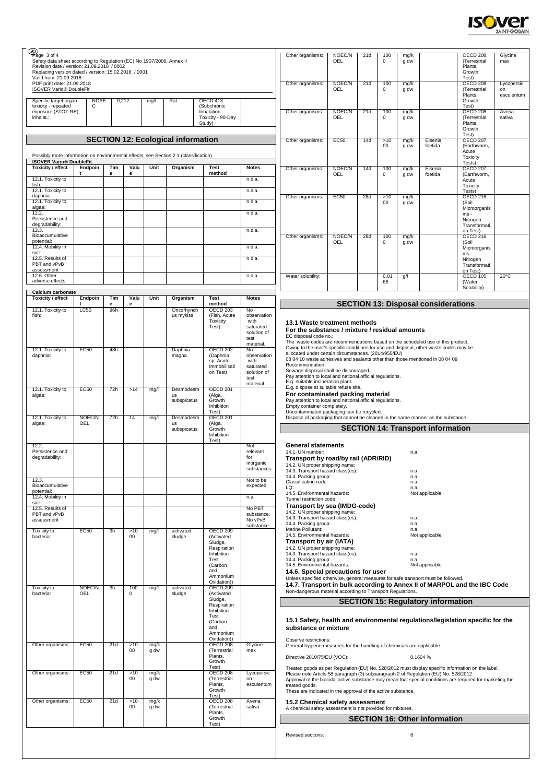

| Page 3 of 4<br>Safety data sheet according to Regulation (EC) No 1907/2006, Annex II<br>Revision date / version: 21.09.2018 / 0002<br>Replacing version dated / version: 15.02.2018 / 0001 |                      |          |               |              |                                           |                                                          |                                  | Other organisms:                                                                                                                                                                                                               | NOEC/N<br>OEL | 21d | 100<br>$^{\circ}$  | mg/k<br>g dw        |                                            | OECD <sub>208</sub><br>(Terrestrial<br>Plants.<br>Growth      | Glycine<br>max                 |
|--------------------------------------------------------------------------------------------------------------------------------------------------------------------------------------------|----------------------|----------|---------------|--------------|-------------------------------------------|----------------------------------------------------------|----------------------------------|--------------------------------------------------------------------------------------------------------------------------------------------------------------------------------------------------------------------------------|---------------|-----|--------------------|---------------------|--------------------------------------------|---------------------------------------------------------------|--------------------------------|
| Valid from: 21.09.2018<br>PDF print date: 21.09.2018<br><b>ISOVER Vario® DoubleFit</b><br>Specific target organ                                                                            | <b>NOAE</b>          |          | 0,212         | mg/l         | Rat                                       | <b>OECD 413</b>                                          |                                  | Other organisms:                                                                                                                                                                                                               | NOEC/N<br>OEL | 21d | 100<br>$\Omega$    | mg/k<br>g dw        |                                            | Test)<br><b>OECD 208</b><br>(Terrestrial<br>Plants,<br>Growth | Lycopersic<br>on<br>esculentum |
| toxicity - repeated<br>exposure (STOT-RE),<br>inhalat.:                                                                                                                                    | С                    |          |               |              |                                           | (Subchronic<br>Inhalation<br>Toxicity - 90-Day<br>Study) |                                  | Other organisms:                                                                                                                                                                                                               | NOEC/N<br>OEL | 21d | 100<br>$\mathbf 0$ | mg/k<br>g dw        |                                            | Test)<br><b>OECD 208</b><br>(Terrestrial<br>Plants,           | Avena<br>sativa                |
|                                                                                                                                                                                            |                      |          |               |              |                                           |                                                          |                                  |                                                                                                                                                                                                                                |               |     |                    |                     |                                            | Growth<br>Test)                                               |                                |
|                                                                                                                                                                                            |                      |          |               |              | <b>SECTION 12: Ecological information</b> |                                                          |                                  | Other organisms:                                                                                                                                                                                                               | <b>EC50</b>   | 14d | >10<br>00          | mg/k<br>g dw        | Eisenia<br>foetida                         | <b>OECD 207</b><br>(Earthworm,                                |                                |
| Possibly more information on environmental effects, see Section 2.1 (classification)<br><b>ISOVER Vario® DoubleFit</b>                                                                     |                      |          |               |              |                                           |                                                          |                                  |                                                                                                                                                                                                                                |               |     |                    |                     |                                            | Acute<br>Toxicity<br>Tests)                                   |                                |
| Toxicity / effect                                                                                                                                                                          | Endpoin              | Tim<br>е | Valu<br>е     | Unit         | Organism                                  | <b>Test</b><br>method                                    | <b>Notes</b>                     | Other organisms:                                                                                                                                                                                                               | NOEC/N<br>OEL | 14d | 100<br>$\mathbf 0$ | mg/k<br>g dw        | Eisenia<br>foetida                         | <b>OECD 207</b><br>(Earthworm,                                |                                |
| 12.1. Toxicity to<br>fish:                                                                                                                                                                 |                      |          |               |              |                                           |                                                          | n.d.a.                           |                                                                                                                                                                                                                                |               |     |                    |                     |                                            | Acute<br>Toxicity                                             |                                |
| 12.1. Toxicity to<br>daphnia:                                                                                                                                                              |                      |          |               |              |                                           |                                                          | n.d.a.                           | Other organisms:                                                                                                                                                                                                               | <b>EC50</b>   | 28d | >10                | mg/k                |                                            | Tests)<br>OECD 216                                            |                                |
| 12.1. Toxicity to<br>algae:<br>12.2.                                                                                                                                                       |                      |          |               |              |                                           |                                                          | n.d.a.<br>n.d.a.                 |                                                                                                                                                                                                                                |               |     | 00                 | g dw                |                                            | (Soil<br>Microorganis                                         |                                |
| Persistence and<br>degradability:                                                                                                                                                          |                      |          |               |              |                                           |                                                          |                                  |                                                                                                                                                                                                                                |               |     |                    |                     |                                            | ms-<br>Nitrogen<br>Transformati                               |                                |
| 12.3.<br>Bioaccumulative<br>potential:                                                                                                                                                     |                      |          |               |              |                                           |                                                          | n.d.a.                           | Other organisms:                                                                                                                                                                                                               | NOEC/N        | 28d | 100                | mg/k                |                                            | on Test)<br>OECD <sub>216</sub>                               |                                |
| 12.4. Mobility in<br>soil:                                                                                                                                                                 |                      |          |               |              |                                           |                                                          | n.d.a.                           |                                                                                                                                                                                                                                | OEL           |     | $\Omega$           | g dw                |                                            | (Soil<br>Microorganis<br>$ms -$                               |                                |
| 12.5. Results of<br>PBT and vPvB<br>assessment                                                                                                                                             |                      |          |               |              |                                           |                                                          | n.d.a.                           |                                                                                                                                                                                                                                |               |     |                    |                     |                                            | Nitrogen<br>Transformati                                      |                                |
| 12.6. Other<br>adverse effects:                                                                                                                                                            |                      |          |               |              |                                           |                                                          | n.d.a.                           | Water solubility:                                                                                                                                                                                                              |               |     | 0,01<br>66         | g/l                 |                                            | on Test)<br>OECD 105<br>(Water                                | $20^{\circ}$ C                 |
| Calcium carbonate                                                                                                                                                                          |                      |          |               |              |                                           |                                                          |                                  |                                                                                                                                                                                                                                |               |     |                    |                     |                                            | Solubility)                                                   |                                |
| Toxicity / effect                                                                                                                                                                          | Endpoin              | Tim<br>e | Valu<br>е     | Unit         | Organism                                  | <b>Test</b><br>method                                    | <b>Notes</b>                     |                                                                                                                                                                                                                                |               |     |                    |                     | <b>SECTION 13: Disposal considerations</b> |                                                               |                                |
| 12.1. Toxicity to<br>fish:                                                                                                                                                                 | <b>LC50</b>          | 96h      |               |              | Oncorhynch<br>us mykiss                   | <b>OECD 203</b><br>(Fish, Acute<br>Toxicity              | No<br>observation<br>with        |                                                                                                                                                                                                                                |               |     |                    |                     |                                            |                                                               |                                |
|                                                                                                                                                                                            |                      |          |               |              |                                           | Test)                                                    | saturated<br>solution of         | 13.1 Waste treatment methods<br>For the substance / mixture / residual amounts                                                                                                                                                 |               |     |                    |                     |                                            |                                                               |                                |
|                                                                                                                                                                                            |                      |          |               |              |                                           |                                                          | test<br>material.                | EC disposal code no.:<br>The waste codes are recommendations based on the scheduled use of this product.                                                                                                                       |               |     |                    |                     |                                            |                                                               |                                |
| 12.1. Toxicity to<br>daphnia:                                                                                                                                                              | <b>EC50</b>          | 48h      |               |              | Daphnia<br>magna                          | <b>OECD 202</b><br>(Daphnia                              | No<br>observation                | Owing to the user's specific conditions for use and disposal, other waste codes may be<br>allocated under certain circumstances. (2014/955/EU)<br>08 04 10 waste adhesives and sealants other than those mentioned in 08 04 09 |               |     |                    |                     |                                            |                                                               |                                |
|                                                                                                                                                                                            |                      |          |               |              |                                           | sp. Acute<br>Immobilisati                                | with<br>saturated                | Recommendation:<br>Sewage disposal shall be discouraged.                                                                                                                                                                       |               |     |                    |                     |                                            |                                                               |                                |
|                                                                                                                                                                                            |                      |          |               |              |                                           | on Test)                                                 | solution of<br>test<br>material. | Pay attention to local and national official regulations.<br>E.g. suitable incineration plant.                                                                                                                                 |               |     |                    |                     |                                            |                                                               |                                |
| 12.1. Toxicity to<br>algae:                                                                                                                                                                | <b>EC50</b>          | 72h      | >14           | mg/l         | Desmodesm<br>us                           | <b>OECD 201</b><br>(Alga,                                |                                  | E.g. dispose at suitable refuse site.<br>For contaminated packing material                                                                                                                                                     |               |     |                    |                     |                                            |                                                               |                                |
|                                                                                                                                                                                            |                      |          |               |              | subspicatus                               | Growth<br>Inhibition<br>Test)                            |                                  | Pay attention to local and national official regulations.<br>Empty container completely.<br>Uncontaminated packaging can be recycled.                                                                                          |               |     |                    |                     |                                            |                                                               |                                |
| 12.1. Toxicity to<br>algae:                                                                                                                                                                | NOEC/N<br>OEL        | 72h      | 14            | mg/l         | Desmodesm<br><b>US</b>                    | OECD <sub>201</sub><br>(Alga,                            |                                  | Dispose of packaging that cannot be cleaned in the same manner as the substance.                                                                                                                                               |               |     |                    |                     |                                            |                                                               |                                |
|                                                                                                                                                                                            |                      |          |               |              | subspicatus                               | Growth<br>Inhibition                                     |                                  |                                                                                                                                                                                                                                |               |     |                    |                     | <b>SECTION 14: Transport information</b>   |                                                               |                                |
| 12.2.<br>Persistence and                                                                                                                                                                   |                      |          |               |              |                                           | Test)                                                    | Not<br>relevant                  | <b>General statements</b><br>14.1. UN number:                                                                                                                                                                                  |               |     |                    | n.a.                |                                            |                                                               |                                |
| degradability:                                                                                                                                                                             |                      |          |               |              |                                           |                                                          | for<br>inorganic                 | Transport by road/by rail (ADR/RID)<br>14.2. UN proper shipping name:                                                                                                                                                          |               |     |                    |                     |                                            |                                                               |                                |
|                                                                                                                                                                                            |                      |          |               |              |                                           |                                                          | substances                       | 14.3. Transport hazard class(es):<br>14.4. Packing group:                                                                                                                                                                      |               |     |                    | n.a.<br>n.a.        |                                            |                                                               |                                |
| 12.3.<br>Bioaccumulative<br>potential:                                                                                                                                                     |                      |          |               |              |                                           |                                                          | Not to be<br>expected            | Classification code:<br>LQ:                                                                                                                                                                                                    |               |     |                    | n.a.<br>n.a.        |                                            |                                                               |                                |
| 12.4. Mobility in<br>soil:                                                                                                                                                                 |                      |          |               |              |                                           |                                                          | n.a.                             | 14.5. Environmental hazards:<br>Tunnel restriction code:                                                                                                                                                                       |               |     |                    |                     | Not applicable                             |                                                               |                                |
| 12.5. Results of<br>PBT and vPvB                                                                                                                                                           |                      |          |               |              |                                           |                                                          | No PBT<br>substance.             | Transport by sea (IMDG-code)<br>14.2. UN proper shipping name:<br>14.3. Transport hazard class(es):                                                                                                                            |               |     |                    |                     |                                            |                                                               |                                |
| assessment                                                                                                                                                                                 |                      |          |               |              |                                           |                                                          | No vPvB<br>substance             | 14.4. Packing group:<br>Marine Pollutant:                                                                                                                                                                                      |               |     |                    | n.a.<br>n.a.<br>n.a |                                            |                                                               |                                |
| Toxicity to<br>bacteria:                                                                                                                                                                   | <b>EC50</b>          | 3h       | >10<br>$00\,$ | mg/l         | activated<br>sludge                       | <b>OECD 209</b><br>(Activated<br>Sludge,                 |                                  | 14.5. Environmental hazards:<br>Transport by air (IATA)                                                                                                                                                                        |               |     |                    |                     | Not applicable                             |                                                               |                                |
|                                                                                                                                                                                            |                      |          |               |              |                                           | Respiration<br>Inhibition                                |                                  | 14.2. UN proper shipping name:<br>14.3. Transport hazard class(es):                                                                                                                                                            |               |     |                    | n.a.                |                                            |                                                               |                                |
|                                                                                                                                                                                            |                      |          |               |              |                                           | Test<br>(Carbon                                          |                                  | 14.4. Packing group:<br>14.5. Environmental hazards:                                                                                                                                                                           |               |     |                    | n.a.                | Not applicable                             |                                                               |                                |
|                                                                                                                                                                                            |                      |          |               |              |                                           | and<br>Ammonium<br>Oxidation))                           |                                  | 14.6. Special precautions for user<br>Unless specified otherwise, general measures for safe transport must be followed.                                                                                                        |               |     |                    |                     |                                            |                                                               |                                |
| <b>Toxicity to</b><br>bacteria:                                                                                                                                                            | NOEC/N<br><b>OEL</b> | 3h       | 100<br>0      | mg/l         | activated<br>sludge                       | OECD 209<br>(Activated                                   |                                  | 14.7. Transport in bulk according to Annex II of MARPOL and the IBC Code<br>Non-dangerous material according to Transport Regulations.                                                                                         |               |     |                    |                     |                                            |                                                               |                                |
|                                                                                                                                                                                            |                      |          |               |              |                                           | Sludge,<br>Respiration                                   |                                  |                                                                                                                                                                                                                                |               |     |                    |                     | <b>SECTION 15: Regulatory information</b>  |                                                               |                                |
|                                                                                                                                                                                            |                      |          |               |              |                                           | Inhibition<br>Test<br>(Carbon                            |                                  | 15.1 Safety, health and environmental regulations/legislation specific for the                                                                                                                                                 |               |     |                    |                     |                                            |                                                               |                                |
|                                                                                                                                                                                            |                      |          |               |              |                                           | and<br>Ammonium                                          |                                  | substance or mixture                                                                                                                                                                                                           |               |     |                    |                     |                                            |                                                               |                                |
| Other organisms:                                                                                                                                                                           | <b>EC50</b>          | 21d      | >10<br>00     | mg/k<br>g dw |                                           | Oxidation))<br>OECD 208<br>(Terrestrial                  | Glycine<br>max                   | Observe restrictions:<br>General hygiene measures for the handling of chemicals are applicable.                                                                                                                                |               |     |                    |                     |                                            |                                                               |                                |
|                                                                                                                                                                                            |                      |          |               |              |                                           | Plants,<br>Growth                                        |                                  | Directive 2010/75/EU (VOC):                                                                                                                                                                                                    |               |     |                    |                     | 0,1604 %                                   |                                                               |                                |
| Other organisms:                                                                                                                                                                           | EC50                 | 21d      | >10           | mg/k         |                                           | Test)<br><b>OECD 208</b>                                 | Lycopersic                       | Treated goods as per Regulation (EU) No. 528/2012 must display specific information on the label.<br>Please note Article 58 paragraph (3) subparagraph 2 of Regulation (EU) No. 528/2012.                                      |               |     |                    |                     |                                            |                                                               |                                |
|                                                                                                                                                                                            |                      |          | $00\,$        | g dw         |                                           | (Terrestrial<br>Plants.<br>Growth                        | on<br>esculentum                 | Approval of the biocidal active substance may mean that special conditions are required for marketing the<br>treated goods.<br>These are indicated in the approval of the active substance.                                    |               |     |                    |                     |                                            |                                                               |                                |
| Other organisms:                                                                                                                                                                           | <b>EC50</b>          | 21d      | >10           | mg/k         |                                           | Test)<br><b>OECD 208</b>                                 | Avena                            | 15.2 Chemical safety assessment                                                                                                                                                                                                |               |     |                    |                     |                                            |                                                               |                                |
|                                                                                                                                                                                            |                      |          | $00\,$        | g dw         |                                           | (Terrestrial<br>Plants,                                  | sativa                           | A chemical safety assessment is not provided for mixtures.                                                                                                                                                                     |               |     |                    |                     |                                            |                                                               |                                |
|                                                                                                                                                                                            |                      |          |               |              |                                           | Growth<br>Test)                                          |                                  |                                                                                                                                                                                                                                |               |     |                    |                     | <b>SECTION 16: Other information</b>       |                                                               |                                |
|                                                                                                                                                                                            |                      |          |               |              |                                           |                                                          |                                  | Revised sections:                                                                                                                                                                                                              |               |     |                    | 8                   |                                            |                                                               |                                |
|                                                                                                                                                                                            |                      |          |               |              |                                           |                                                          |                                  |                                                                                                                                                                                                                                |               |     |                    |                     |                                            |                                                               |                                |
|                                                                                                                                                                                            |                      |          |               |              |                                           |                                                          |                                  |                                                                                                                                                                                                                                |               |     |                    |                     |                                            |                                                               |                                |